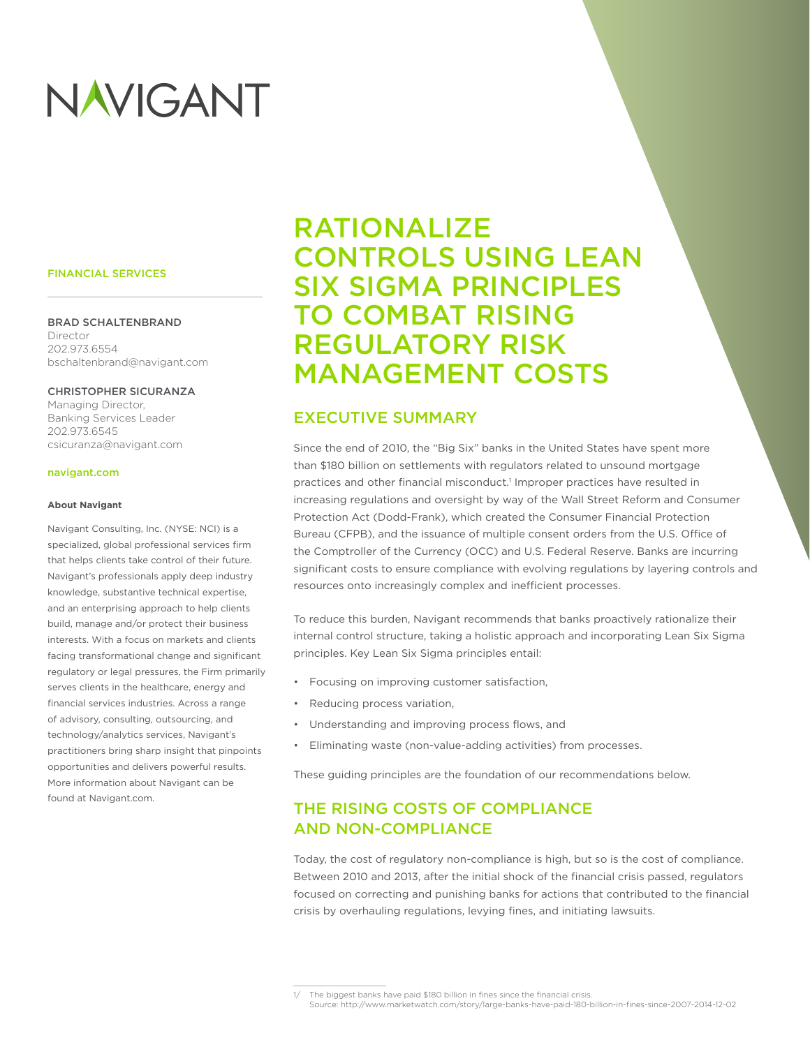# NAVIGANT

#### FINANCIAL SERVICES

#### BRAD SCHALTENBRAND

Director 202.973.6554 bschaltenbrand@navigant.com

#### CHRISTOPHER SICURANZA

Managing Director, Banking Services Leader 202.973.6545 csicuranza@navigant.com

#### navigant.com

#### **About Navigant**

Navigant Consulting, Inc. (NYSE: NCI) is a specialized, global professional services firm that helps clients take control of their future. Navigant's professionals apply deep industry knowledge, substantive technical expertise, and an enterprising approach to help clients build, manage and/or protect their business interests. With a focus on markets and clients facing transformational change and significant regulatory or legal pressures, the Firm primarily serves clients in the healthcare, energy and financial services industries. Across a range of advisory, consulting, outsourcing, and technology/analytics services, Navigant's practitioners bring sharp insight that pinpoints opportunities and delivers powerful results. More information about Navigant can be found at Navigant.com.

## RATIONALIZE CONTROLS USING LEAN SIX SIGMA PRINCIPLES TO COMBAT RISING REGULATORY RISK MANAGEMENT COSTS

## EXECUTIVE SUMMARY

Since the end of 2010, the "Big Six" banks in the United States have spent more than \$180 billion on settlements with regulators related to unsound mortgage practices and other financial misconduct.<sup>1</sup> Improper practices have resulted in increasing regulations and oversight by way of the Wall Street Reform and Consumer Protection Act (Dodd-Frank), which created the Consumer Financial Protection Bureau (CFPB), and the issuance of multiple consent orders from the U.S. Office of the Comptroller of the Currency (OCC) and U.S. Federal Reserve. Banks are incurring significant costs to ensure compliance with evolving regulations by layering controls and resources onto increasingly complex and inefficient processes.

To reduce this burden, Navigant recommends that banks proactively rationalize their internal control structure, taking a holistic approach and incorporating Lean Six Sigma principles. Key Lean Six Sigma principles entail:

- Focusing on improving customer satisfaction,
- Reducing process variation,
- Understanding and improving process flows, and
- Eliminating waste (non-value-adding activities) from processes.

These guiding principles are the foundation of our recommendations below.

## THE RISING COSTS OF COMPLIANCE AND NON-COMPLIANCE

Today, the cost of regulatory non-compliance is high, but so is the cost of compliance. Between 2010 and 2013, after the initial shock of the financial crisis passed, regulators focused on correcting and punishing banks for actions that contributed to the financial crisis by overhauling regulations, levying fines, and initiating lawsuits.

<sup>1/</sup> The biggest banks have paid \$180 billion in fines since the financial crisis. Source: http://www.marketwatch.com/story/large-banks-have-paid-180-billion-in-fines-since-2007-2014-12-02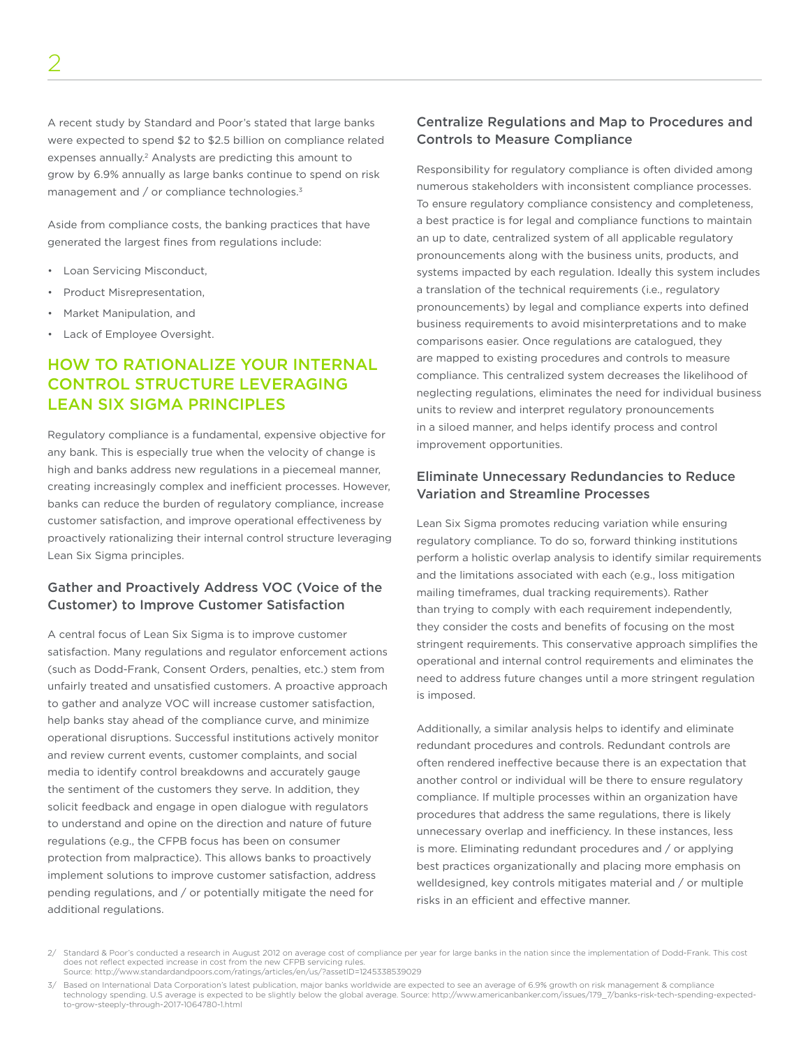A recent study by Standard and Poor's stated that large banks were expected to spend \$2 to \$2.5 billion on compliance related expenses annually.<sup>2</sup> Analysts are predicting this amount to grow by 6.9% annually as large banks continue to spend on risk management and / or compliance technologies.3

Aside from compliance costs, the banking practices that have generated the largest fines from regulations include:

- Loan Servicing Misconduct,
- Product Misrepresentation,
- Market Manipulation, and
- Lack of Employee Oversight.

## HOW TO RATIONALIZE YOUR INTERNAL CONTROL STRUCTURE LEVERAGING LEAN SIX SIGMA PRINCIPLES

Regulatory compliance is a fundamental, expensive objective for any bank. This is especially true when the velocity of change is high and banks address new regulations in a piecemeal manner, creating increasingly complex and inefficient processes. However, banks can reduce the burden of regulatory compliance, increase customer satisfaction, and improve operational effectiveness by proactively rationalizing their internal control structure leveraging Lean Six Sigma principles.

## Gather and Proactively Address VOC (Voice of the Customer) to Improve Customer Satisfaction

A central focus of Lean Six Sigma is to improve customer satisfaction. Many regulations and regulator enforcement actions (such as Dodd-Frank, Consent Orders, penalties, etc.) stem from unfairly treated and unsatisfied customers. A proactive approach to gather and analyze VOC will increase customer satisfaction, help banks stay ahead of the compliance curve, and minimize operational disruptions. Successful institutions actively monitor and review current events, customer complaints, and social media to identify control breakdowns and accurately gauge the sentiment of the customers they serve. In addition, they solicit feedback and engage in open dialogue with regulators to understand and opine on the direction and nature of future regulations (e.g., the CFPB focus has been on consumer protection from malpractice). This allows banks to proactively implement solutions to improve customer satisfaction, address pending regulations, and / or potentially mitigate the need for additional regulations.

## Centralize Regulations and Map to Procedures and Controls to Measure Compliance

Responsibility for regulatory compliance is often divided among numerous stakeholders with inconsistent compliance processes. To ensure regulatory compliance consistency and completeness, a best practice is for legal and compliance functions to maintain an up to date, centralized system of all applicable regulatory pronouncements along with the business units, products, and systems impacted by each regulation. Ideally this system includes a translation of the technical requirements (i.e., regulatory pronouncements) by legal and compliance experts into defined business requirements to avoid misinterpretations and to make comparisons easier. Once regulations are catalogued, they are mapped to existing procedures and controls to measure compliance. This centralized system decreases the likelihood of neglecting regulations, eliminates the need for individual business units to review and interpret regulatory pronouncements in a siloed manner, and helps identify process and control improvement opportunities.

## Eliminate Unnecessary Redundancies to Reduce Variation and Streamline Processes

Lean Six Sigma promotes reducing variation while ensuring regulatory compliance. To do so, forward thinking institutions perform a holistic overlap analysis to identify similar requirements and the limitations associated with each (e.g., loss mitigation mailing timeframes, dual tracking requirements). Rather than trying to comply with each requirement independently, they consider the costs and benefits of focusing on the most stringent requirements. This conservative approach simplifies the operational and internal control requirements and eliminates the need to address future changes until a more stringent regulation is imposed.

Additionally, a similar analysis helps to identify and eliminate redundant procedures and controls. Redundant controls are often rendered ineffective because there is an expectation that another control or individual will be there to ensure regulatory compliance. If multiple processes within an organization have procedures that address the same regulations, there is likely unnecessary overlap and inefficiency. In these instances, less is more. Eliminating redundant procedures and / or applying best practices organizationally and placing more emphasis on welldesigned, key controls mitigates material and / or multiple risks in an efficient and effective manner.

<sup>2/</sup> Standard & Poor's conducted a research in August 2012 on average cost of compliance per year for large banks in the nation since the implementation of Dodd-Frank. This cost does not reflect expected increase in cost from the new CFPB servicing rules. Source: http://www.standardandpoors.com/ratings/articles/en/us/?assetID=1245338539029

<sup>3/</sup> Based on International Data Corporation's latest publication, major banks worldwide are expected to see an average of 6.9% growth on risk management & compliance technology spending. U.S average is expected to be slightly below the global average. Source: http://www.americanbanker.com/issues/179\_7/banks-risk-tech-spending-expectedto-grow-steeply-through-2017-1064780-1.html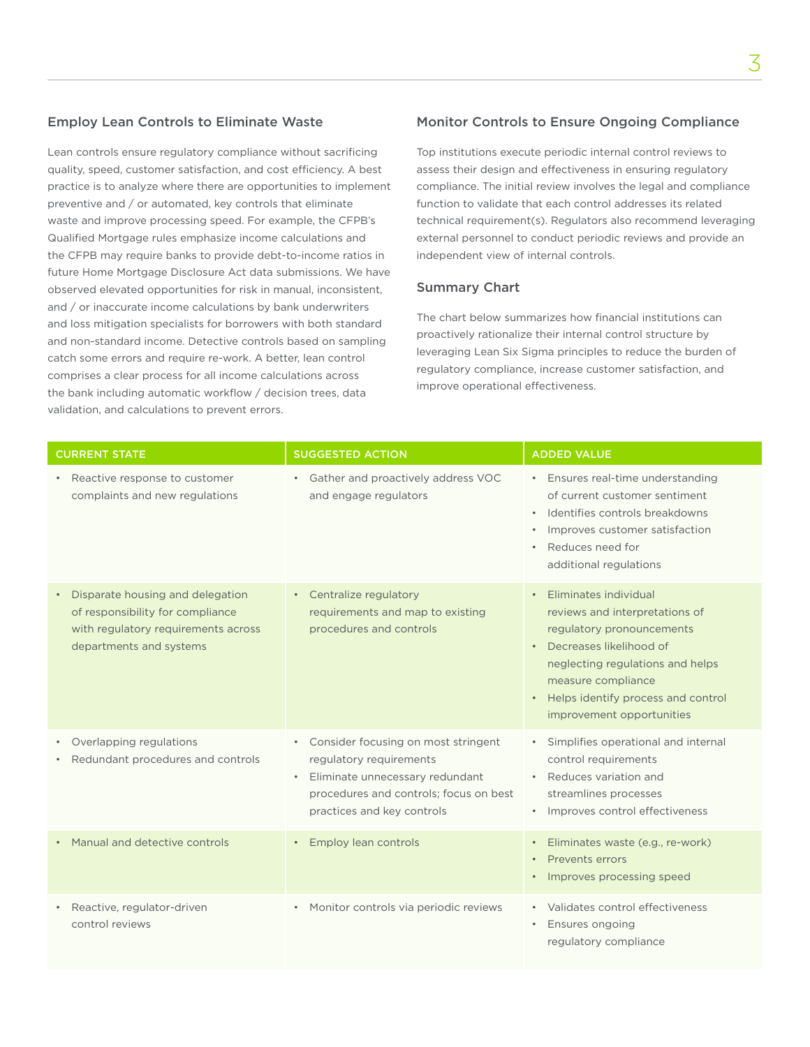### Employ Lean Controls to Eliminate Waste

Lean controls ensure regulatory compliance without sacrificing quality, speed, customer satisfaction, and cost efficiency. A best practice is to analyze where there are opportunities to implement preventive and / or automated, key controls that eliminate waste and improve processing speed. For example, the CFPB's Qualified Mortgage rules emphasize income calculations and the CFPB may require banks to provide debt-to-income ratios in future Home Mortgage Disclosure Act data submissions. We have observed elevated opportunities for risk in manual, inconsistent, and / or inaccurate income calculations by bank underwriters and loss mitigation specialists for borrowers with both standard and non-standard income. Detective controls based on sampling catch some errors and require re-work. A better, lean control comprises a clear process for all income calculations across the bank including automatic workflow / decision trees, data validation, and calculations to prevent errors.

### Monitor Controls to Ensure Ongoing Compliance

Top institutions execute periodic internal control reviews to assess their design and effectiveness in ensuring regulatory compliance. The initial review involves the legal and compliance function to validate that each control addresses its related technical requirement(s). Regulators also recommend leveraging external personnel to conduct periodic reviews and provide an independent view of internal controls.

#### Summary Chart

The chart below summarizes how financial institutions can proactively rationalize their internal control structure by leveraging Lean Six Sigma principles to reduce the burden of regulatory compliance, increase customer satisfaction, and improve operational effectiveness.

| <b>CURRENT STATE</b>                                                                                                                   | <b>SUGGESTED ACTION</b>                                                                                                                                                                | <b>ADDED VALUE</b>                                                                                                                                                                                                                                                       |
|----------------------------------------------------------------------------------------------------------------------------------------|----------------------------------------------------------------------------------------------------------------------------------------------------------------------------------------|--------------------------------------------------------------------------------------------------------------------------------------------------------------------------------------------------------------------------------------------------------------------------|
| Reactive response to customer<br>complaints and new regulations                                                                        | Gather and proactively address VOC<br>$\bullet$<br>and engage regulators                                                                                                               | • Ensures real-time understanding<br>of current customer sentiment<br>· Identifies controls breakdowns<br>Improves customer satisfaction<br>$\bullet$<br>Reduces need for<br>$\bullet$<br>additional regulations                                                         |
| Disparate housing and delegation<br>of responsibility for compliance<br>with regulatory requirements across<br>departments and systems | Centralize regulatory<br>$\bullet$<br>requirements and map to existing<br>procedures and controls                                                                                      | Eliminates individual<br>$\bullet$<br>reviews and interpretations of<br>regulatory pronouncements<br>• Decreases likelihood of<br>neglecting regulations and helps<br>measure compliance<br>Helps identify process and control<br>$\bullet$<br>improvement opportunities |
| • Overlapping regulations<br>Redundant procedures and controls                                                                         | Consider focusing on most stringent<br>regulatory requirements<br>Eliminate unnecessary redundant<br>$\bullet$<br>procedures and controls; focus on best<br>practices and key controls | Simplifies operational and internal<br>$\bullet$<br>control requirements<br>Reduces variation and<br>streamlines processes<br>Improves control effectiveness                                                                                                             |
| Manual and detective controls                                                                                                          | Employ lean controls                                                                                                                                                                   | Eliminates waste (e.g., re-work)<br>$\bullet$<br>Prevents errors<br>Improves processing speed                                                                                                                                                                            |
| Reactive, regulator-driven<br>control reviews                                                                                          | Monitor controls via periodic reviews<br>$\bullet$                                                                                                                                     | Validates control effectiveness<br>Ensures ongoing<br>$\bullet$<br>regulatory compliance                                                                                                                                                                                 |